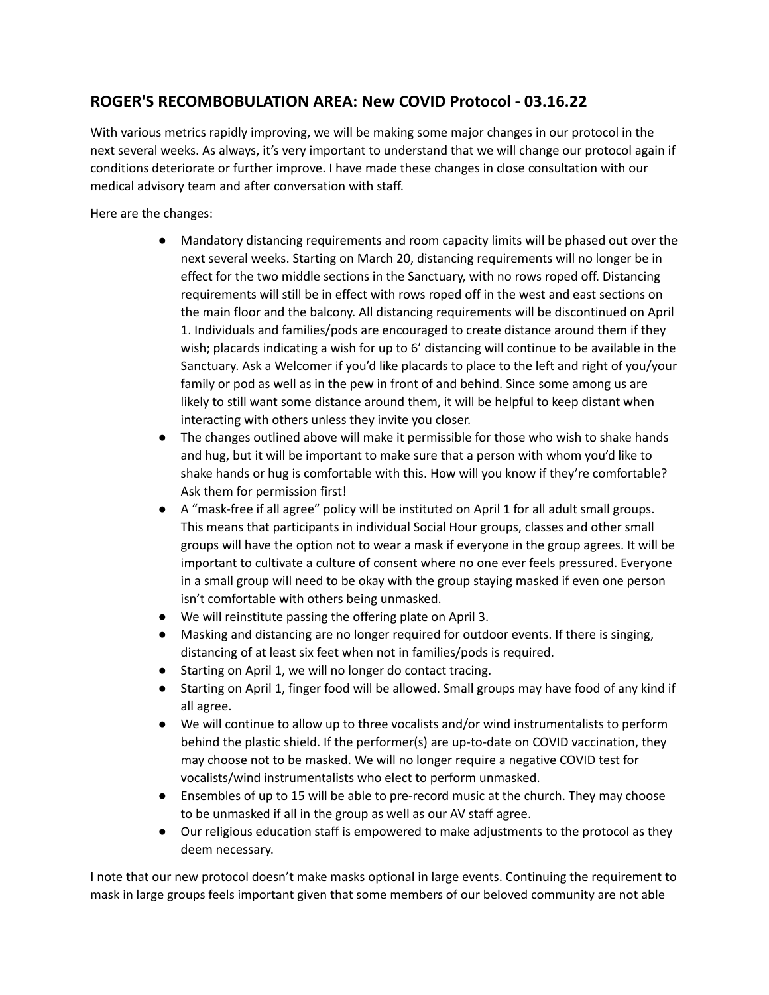## **ROGER'S RECOMBOBULATION AREA: New COVID Protocol - 03.16.22**

With various metrics rapidly improving, we will be making some major changes in our protocol in the next several weeks. As always, it's very important to understand that we will change our protocol again if conditions deteriorate or further improve. I have made these changes in close consultation with our medical advisory team and after conversation with staff.

Here are the changes:

- Mandatory distancing requirements and room capacity limits will be phased out over the next several weeks. Starting on March 20, distancing requirements will no longer be in effect for the two middle sections in the Sanctuary, with no rows roped off. Distancing requirements will still be in effect with rows roped off in the west and east sections on the main floor and the balcony. All distancing requirements will be discontinued on April 1. Individuals and families/pods are encouraged to create distance around them if they wish; placards indicating a wish for up to 6' distancing will continue to be available in the Sanctuary. Ask a Welcomer if you'd like placards to place to the left and right of you/your family or pod as well as in the pew in front of and behind. Since some among us are likely to still want some distance around them, it will be helpful to keep distant when interacting with others unless they invite you closer.
- The changes outlined above will make it permissible for those who wish to shake hands and hug, but it will be important to make sure that a person with whom you'd like to shake hands or hug is comfortable with this. How will you know if they're comfortable? Ask them for permission first!
- A "mask-free if all agree" policy will be instituted on April 1 for all adult small groups. This means that participants in individual Social Hour groups, classes and other small groups will have the option not to wear a mask if everyone in the group agrees. It will be important to cultivate a culture of consent where no one ever feels pressured. Everyone in a small group will need to be okay with the group staying masked if even one person isn't comfortable with others being unmasked.
- We will reinstitute passing the offering plate on April 3.
- Masking and distancing are no longer required for outdoor events. If there is singing, distancing of at least six feet when not in families/pods is required.
- Starting on April 1, we will no longer do contact tracing.
- Starting on April 1, finger food will be allowed. Small groups may have food of any kind if all agree.
- We will continue to allow up to three vocalists and/or wind instrumentalists to perform behind the plastic shield. If the performer(s) are up-to-date on COVID vaccination, they may choose not to be masked. We will no longer require a negative COVID test for vocalists/wind instrumentalists who elect to perform unmasked.
- Ensembles of up to 15 will be able to pre-record music at the church. They may choose to be unmasked if all in the group as well as our AV staff agree.
- Our religious education staff is empowered to make adjustments to the protocol as they deem necessary.

I note that our new protocol doesn't make masks optional in large events. Continuing the requirement to mask in large groups feels important given that some members of our beloved community are not able